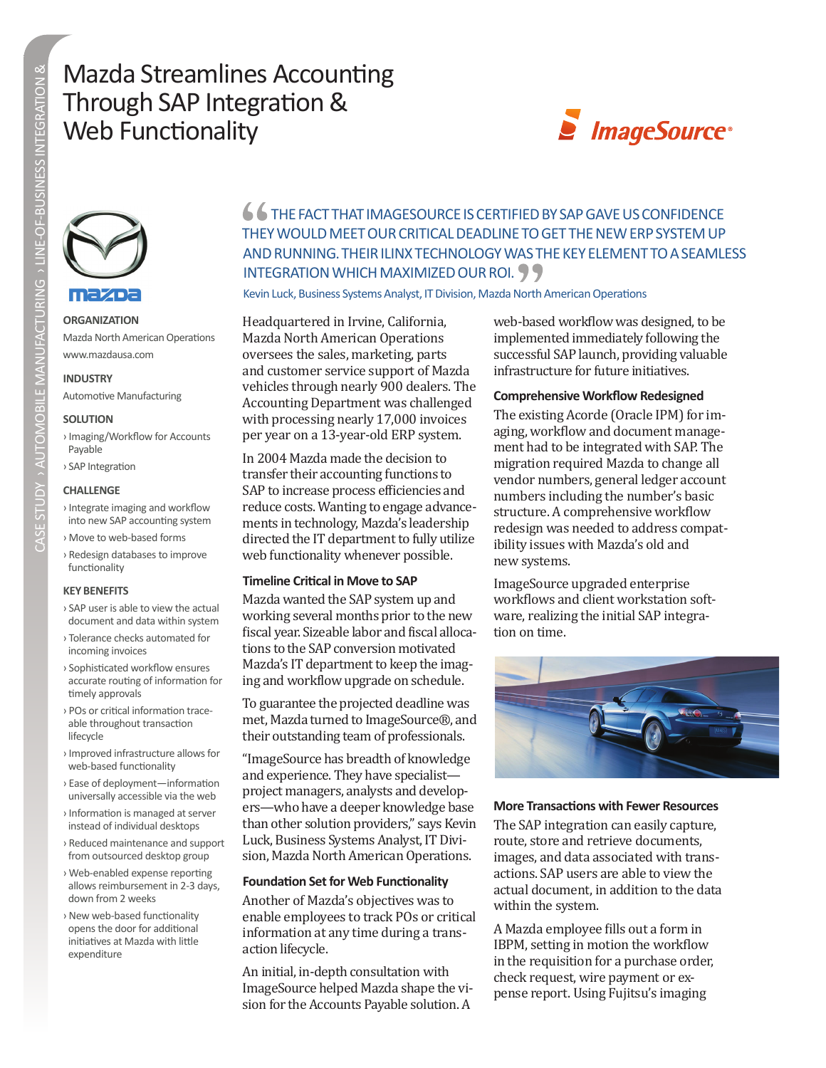# Mazda Streamlines Accounting Through SAP Integration & Web Functionality





#### **ORGANIZATION**

Mazda North American Operations www.mazdausa.com

#### **INDUSTRY**

Automotive Manufacturing

#### **SOLUTION**

- › Imaging/Workflow for Accounts Payable
- › SAP Integration

#### **CHALLENGE**

- › Integrate imaging and workflow into new SAP accounting system
- › Move to web-based forms
- › Redesign databases to improve functionality

#### **KEY BENEFITS**

- › SAP user is able to view the actual document and data within system
- › Tolerance checks automated for incoming invoices
- › Sophisticated workflow ensures accurate routing of information for timely approvals
- › POs or critical information traceable throughout transaction lifecycle
- › Improved infrastructure allows for web-based functionality
- › Ease of deployment—information universally accessible via the web
- › Information is managed at server instead of individual desktops
- › Reduced maintenance and support from outsourced desktop group
- › Web-enabled expense reporting allows reimbursement in 2-3 days, down from 2 weeks
- › New web-based functionality opens the door for additional initiatives at Mazda with little expenditure

**6 6 THE FACT THAT IMAGESOURCE IS CERTIFIED BY SAP GAVE US CONFIDENCE** THEY WOULD MEET OUR CRITICAL DEADLINE TO GET THE NEW ERP SYSTEM UP AND RUNNING. THEIR ILINX TECHNOLOGY WAS THE KEY ELEMENT TO A SEAMLESS INTEGRATION WHICH MAXIMIZED OUR ROI.

Kevin Luck, Business Systems Analyst, IT Division, Mazda North American Operations

Headquartered in Irvine, California, Mazda North American Operations oversees the sales, marketing, parts and customer service support of Mazda vehicles through nearly 900 dealers. The Accounting Department was challenged with processing nearly 17,000 invoices per year on a 13-year-old ERP system.

In 2004 Mazda made the decision to transfer their accounting functions to SAP to increase process efficiencies and reduce costs. Wanting to engage advancements in technology, Mazda's leadership directed the IT department to fully utilize web functionality whenever possible.

## **Timeline Critical in Move to SAP**

Mazda wanted the SAP system up and working several months prior to the new fiscal year. Sizeable labor and fiscal allocations to the SAP conversion motivated Mazda's IT department to keep the imaging and workflow upgrade on schedule.

To guarantee the projected deadline was met, Mazda turned to ImageSource®, and their outstanding team of professionals.

"ImageSource has breadth of knowledge and experience. They have specialist project managers, analysts and developers—who have a deeper knowledge base than other solution providers," says Kevin Luck, Business Systems Analyst, IT Division, Mazda North American Operations.

# **Foundation Set for Web Functionality**

Another of Mazda's objectives was to enable employees to track POs or critical information at any time during a transaction lifecycle.

An initial, in-depth consultation with ImageSource helped Mazda shape the vision for the Accounts Payable solution. A

web-based workflow was designed, to be implemented immediately following the successful SAP launch, providing valuable infrastructure for future initiatives.

#### **Comprehensive Workflow Redesigned**

The existing Acorde (Oracle IPM) for imaging, workflow and document management had to be integrated with SAP. The migration required Mazda to change all vendor numbers, general ledger account numbers including the number's basic structure. A comprehensive workflow redesign was needed to address compatibility issues with Mazda's old and new systems.

ImageSource upgraded enterprise workflows and client workstation software, realizing the initial SAP integration on time.



#### **More Transactions with Fewer Resources**

The SAP integration can easily capture, route, store and retrieve documents, images, and data associated with transactions. SAP users are able to view the actual document, in addition to the data within the system.

A Mazda employee fills out a form in IBPM, setting in motion the workflow in the requisition for a purchase order, check request, wire payment or expense report. Using Fujitsu's imaging